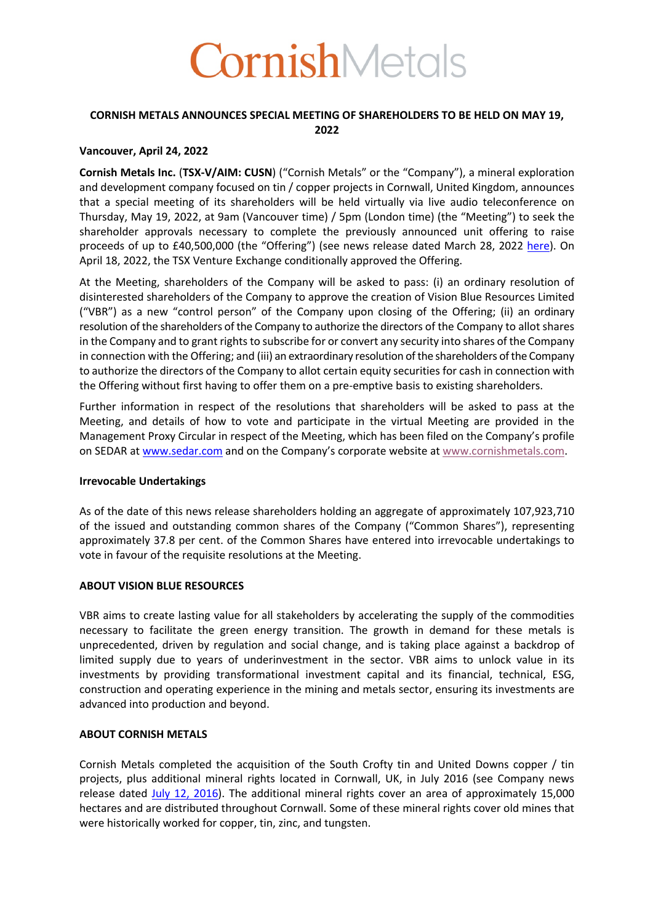

## **CORNISH METALS ANNOUNCES SPECIAL MEETING OF SHAREHOLDERS TO BE HELD ON MAY 19, 2022**

### **Vancouver, April 24, 2022**

**Cornish Metals Inc.** (**TSX-V/AIM: CUSN**) ("Cornish Metals" or the "Company"), a mineral exploration and development company focused on tin / copper projects in Cornwall, United Kingdom, announces that a special meeting of its shareholders will be held virtually via live audio teleconference on Thursday, May 19, 2022, at 9am (Vancouver time) / 5pm (London time) (the "Meeting") to seek the shareholder approvals necessary to complete the previously announced unit offering to raise proceeds of up to £40,500,000 (the "Offering") (see news release dated March 28, 2022 here). On April 18, 2022, the TSX Venture Exchange conditionally approved the Offering.

At the Meeting, shareholders of the Company will be asked to pass: (i) an ordinary resolution of disinterested shareholders of the Company to approve the creation of Vision Blue Resources Limited ("VBR") as a new "control person" of the Company upon closing of the Offering; (ii) an ordinary resolution of the shareholders of the Company to authorize the directors of the Company to allot shares in the Company and to grant rights to subscribe for or convert any security into shares of the Company in connection with the Offering; and (iii) an extraordinary resolution of the shareholders of the Company to authorize the directors of the Company to allot certain equity securities for cash in connection with the Offering without first having to offer them on a pre-emptive basis to existing shareholders.

Further information in respect of the resolutions that shareholders will be asked to pass at the Meeting, and details of how to vote and participate in the virtual Meeting are provided in the Management Proxy Circular in respect of the Meeting, which has been filed on the Company's profile on SEDAR at www.sedar.com and on the Company's corporate website at www.cornishmetals.com.

#### **Irrevocable Undertakings**

As of the date of this news release shareholders holding an aggregate of approximately 107,923,710 of the issued and outstanding common shares of the Company ("Common Shares"), representing approximately 37.8 per cent. of the Common Shares have entered into irrevocable undertakings to vote in favour of the requisite resolutions at the Meeting.

#### **ABOUT VISION BLUE RESOURCES**

VBR aims to create lasting value for all stakeholders by accelerating the supply of the commodities necessary to facilitate the green energy transition. The growth in demand for these metals is unprecedented, driven by regulation and social change, and is taking place against a backdrop of limited supply due to years of underinvestment in the sector. VBR aims to unlock value in its investments by providing transformational investment capital and its financial, technical, ESG, construction and operating experience in the mining and metals sector, ensuring its investments are advanced into production and beyond.

# **ABOUT CORNISH METALS**

Cornish Metals completed the acquisition of the South Crofty tin and United Downs copper / tin projects, plus additional mineral rights located in Cornwall, UK, in July 2016 (see Company news release dated July 12, 2016). The additional mineral rights cover an area of approximately 15,000 hectares and are distributed throughout Cornwall. Some of these mineral rights cover old mines that were historically worked for copper, tin, zinc, and tungsten.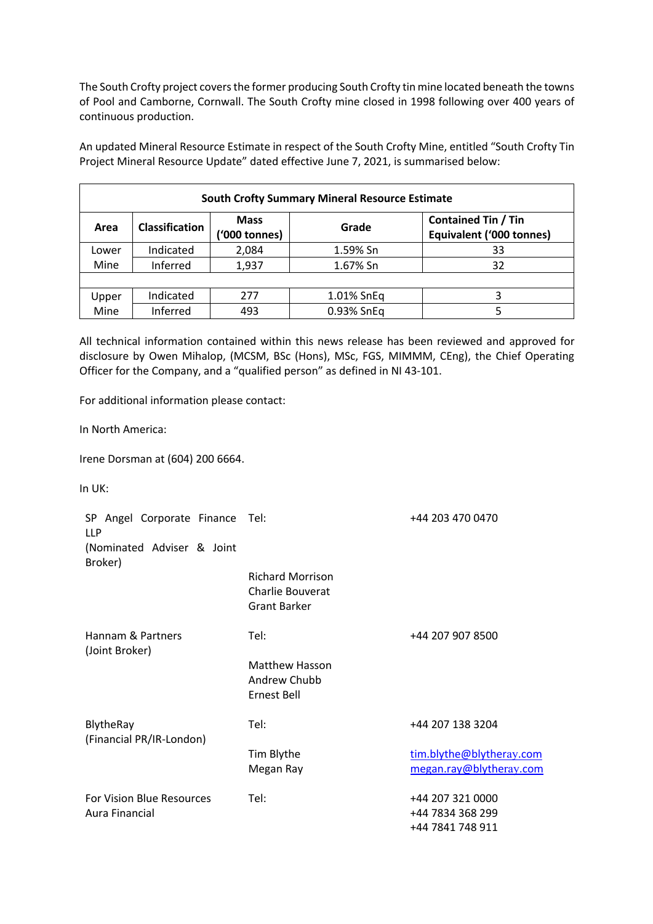The South Crofty project covers the former producing South Crofty tin mine located beneath the towns of Pool and Camborne, Cornwall. The South Crofty mine closed in 1998 following over 400 years of continuous production.

An updated Mineral Resource Estimate in respect of the South Crofty Mine, entitled "South Crofty Tin Project Mineral Resource Update" dated effective June 7, 2021, is summarised below:

| <b>South Crofty Summary Mineral Resource Estimate</b> |                       |                              |            |                                                               |  |  |
|-------------------------------------------------------|-----------------------|------------------------------|------------|---------------------------------------------------------------|--|--|
| Area                                                  | <b>Classification</b> | <b>Mass</b><br>('000 tonnes) | Grade      | <b>Contained Tin / Tin</b><br><b>Equivalent ('000 tonnes)</b> |  |  |
| Lower                                                 | Indicated             | 2,084                        | 1.59% Sn   | 33                                                            |  |  |
| Mine                                                  | Inferred              | 1,937                        | 1.67% Sn   | 32                                                            |  |  |
|                                                       |                       |                              |            |                                                               |  |  |
| Upper                                                 | Indicated             | 277                          | 1.01% SnEq |                                                               |  |  |
| Mine                                                  | Inferred              | 493                          | 0.93% SnEq |                                                               |  |  |

All technical information contained within this news release has been reviewed and approved for disclosure by Owen Mihalop, (MCSM, BSc (Hons), MSc, FGS, MIMMM, CEng), the Chief Operating Officer for the Company, and a "qualified person" as defined in NI 43-101.

For additional information please contact:

In North America:

Irene Dorsman at (604) 200 6664.

In UK:

| SP Angel Corporate Finance Tel:<br><b>LLP</b> |                                                                           | +44 203 470 0470                                         |
|-----------------------------------------------|---------------------------------------------------------------------------|----------------------------------------------------------|
| (Nominated Adviser & Joint<br>Broker)         |                                                                           |                                                          |
|                                               | <b>Richard Morrison</b><br><b>Charlie Bouverat</b><br><b>Grant Barker</b> |                                                          |
| Hannam & Partners                             | Tel:                                                                      | +44 207 907 8500                                         |
| (Joint Broker)                                | <b>Matthew Hasson</b><br>Andrew Chubb<br><b>Ernest Bell</b>               |                                                          |
| BlytheRay<br>(Financial PR/IR-London)         | Tel:                                                                      | +44 207 138 3204                                         |
|                                               | Tim Blythe<br>Megan Ray                                                   | tim.blythe@blytheray.com<br>megan.ray@blytheray.com      |
| For Vision Blue Resources<br>Aura Financial   | Tel:                                                                      | +44 207 321 0000<br>+44 7834 368 299<br>+44 7841 748 911 |